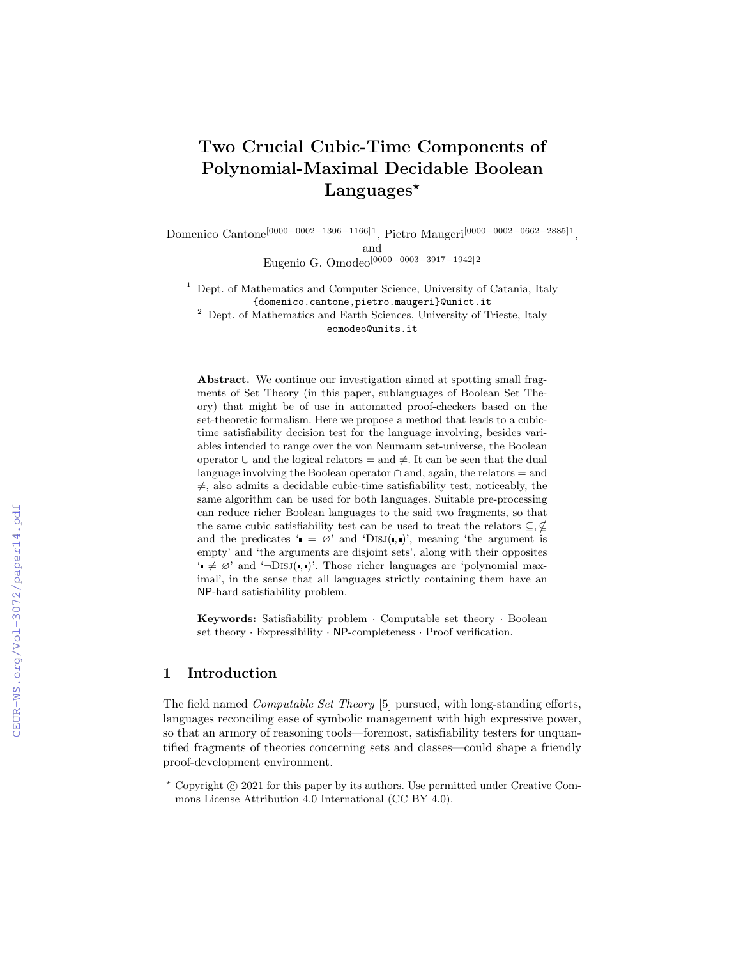# Two Crucial Cubic-Time Components of Polynomial-Maximal Decidable Boolean Languages<sup>\*</sup>

Domenico Cantone[0000−0002−1306−1166]1, Pietro Maugeri[0000−0002−0662−2885]1 , and Eugenio G. Omodeo[0000−0003−3917−1942]2

<sup>1</sup> Dept. of Mathematics and Computer Science, University of Catania, Italy {domenico.cantone,pietro.maugeri}@unict.it

<sup>2</sup> Dept. of Mathematics and Earth Sciences, University of Trieste, Italy eomodeo@units.it

Abstract. We continue our investigation aimed at spotting small fragments of Set Theory (in this paper, sublanguages of Boolean Set Theory) that might be of use in automated proof-checkers based on the set-theoretic formalism. Here we propose a method that leads to a cubictime satisfiability decision test for the language involving, besides variables intended to range over the von Neumann set-universe, the Boolean operator  $\cup$  and the logical relators = and  $\neq$ . It can be seen that the dual language involving the Boolean operator  $\cap$  and, again, the relators = and  $\neq$ , also admits a decidable cubic-time satisfiability test; noticeably, the same algorithm can be used for both languages. Suitable pre-processing can reduce richer Boolean languages to the said two fragments, so that the same cubic satisfiability test can be used to treat the relators  $\subseteq, \nsubseteq$ and the predicates ' $= \emptyset$ ' and 'DISJ(, )', meaning 'the argument is empty' and 'the arguments are disjoint sets', along with their opposites  $\rightarrow \neq \emptyset'$  and  $\rightarrow$ Disj(, )'. Those richer languages are 'polynomial maximal', in the sense that all languages strictly containing them have an NP-hard satisfiability problem.

Keywords: Satisfiability problem · Computable set theory · Boolean set theory · Expressibility · NP-completeness · Proof verification.

### 1 Introduction

The field named Computable Set Theory [\[5\]](#page--1-0) pursued, with long-standing efforts, languages reconciling ease of symbolic management with high expressive power, so that an armory of reasoning tools—foremost, satisfiability testers for unquantified fragments of theories concerning sets and classes—could shape a friendly proof-development environment.

 $*$  Copyright  $\odot$  2021 for this paper by its authors. Use permitted under Creative Commons License Attribution 4.0 International (CC BY 4.0).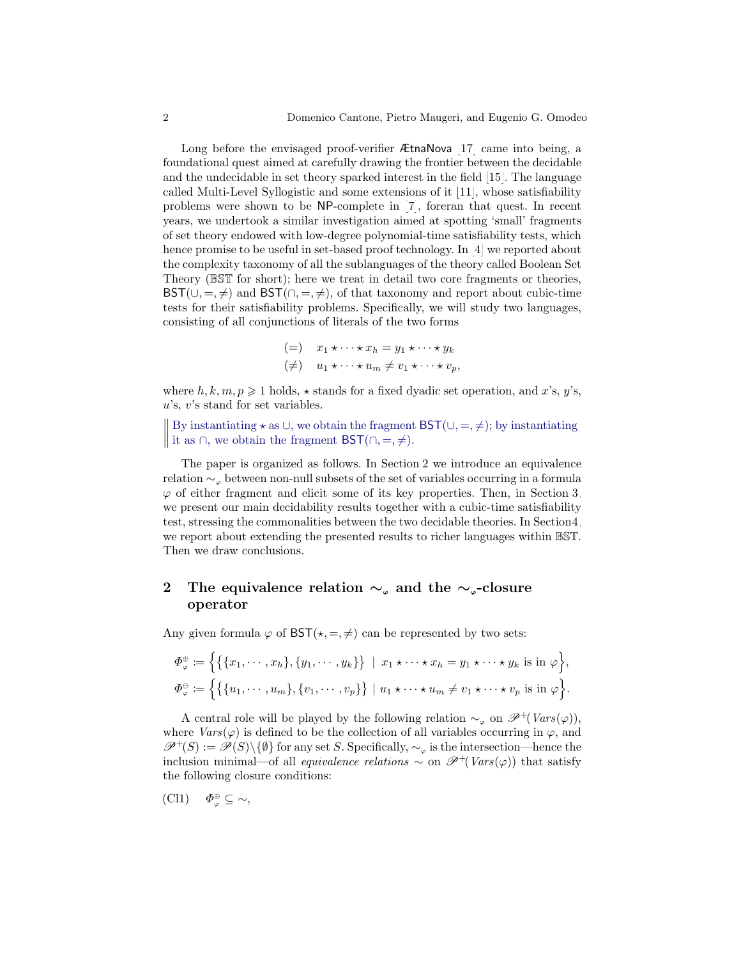Long before the envisaged proof-verifier ÆtnaNova [\[17\]](#page-12-0) came into being, a foundational quest aimed at carefully drawing the frontier between the decidable and the undecidable in set theory sparked interest in the field [\[15\]](#page-12-1). The language called Multi-Level Syllogistic and some extensions of it [\[11\]](#page-12-2), whose satisfiability problems were shown to be NP-complete in [\[7\]](#page-12-3), foreran that quest. In recent years, we undertook a similar investigation aimed at spotting 'small' fragments of set theory endowed with low-degree polynomial-time satisfiability tests, which hence promise to be useful in set-based proof technology. In [\[4\]](#page-12-4) we reported about the complexity taxonomy of all the sublanguages of the theory called Boolean Set Theory (BST for short); here we treat in detail two core fragments or theories,  $BST(\cup, =, \neq)$  and  $BST(\cap, =, \neq)$ , of that taxonomy and report about cubic-time tests for their satisfiability problems. Specifically, we will study two languages, consisting of all conjunctions of literals of the two forms

$$
\begin{aligned}\n & (=) \quad x_1 \star \cdots \star x_h = y_1 \star \cdots \star y_k \\
& (\neq) \quad u_1 \star \cdots \star u_m \neq v_1 \star \cdots \star v_p,\n\end{aligned}
$$

where  $h, k, m, p \geq 1$  holds,  $\star$  stands for a fixed dyadic set operation, and x's, y's,  $u$ 's,  $v$ 's stand for set variables.

|| By instantiating  $\star$  as ∪, we obtain the fragment BST(∪, =,  $\neq$ ); by instantiating If by instantiating  $\star$  as  $\circ$ , we obtain the fragment BST( $\cap, =, \neq$ ).

The paper is organized as follows. In Section [2](#page-1-0) we introduce an equivalence relation ∼<sup>ϕ</sup> between non-null subsets of the set of variables occurring in a formula  $\varphi$  of either fragment and elicit some of its key properties. Then, in Section [3,](#page-5-0) we present our main decidability results together with a cubic-time satisfiability test, stressing the commonalities between the two decidable theories. In Sectio[n4,](#page-10-0) we report about extending the presented results to richer languages within BST. Then we draw conclusions.

### <span id="page-1-0"></span>2 The equivalence relation  $\sim_{\varphi}$  and the  $\sim_{\varphi}$ -closure operator

Any given formula  $\varphi$  of  $\mathsf{BST}(\star, =, \neq)$  can be represented by two sets:

$$
\Phi_{\varphi}^{\oplus} := \Big\{ \big\{ \{x_1, \cdots, x_h\}, \{y_1, \cdots, y_k\} \big\} \mid x_1 \star \cdots \star x_h = y_1 \star \cdots \star y_k \text{ is in } \varphi \Big\},
$$
  

$$
\Phi_{\varphi}^{\ominus} := \Big\{ \big\{ \{u_1, \cdots, u_m\}, \{v_1, \cdots, v_p\} \big\} \mid u_1 \star \cdots \star u_m \neq v_1 \star \cdots \star v_p \text{ is in } \varphi \Big\}.
$$

A central role will be played by the following relation  $\sim_{\varphi}$  on  $\mathscr{P}^{+}(Vars(\varphi))$ , where  $Vars(\varphi)$  is defined to be the collection of all variables occurring in  $\varphi$ , and  $\mathscr{P}^+(S) := \mathscr{P}(S) \setminus \{ \emptyset \}$  for any set S. Specifically,  $\sim_{\varphi}$  is the intersection—hence the inclusion minimal—of all *equivalence relations*  $\sim$  on  $\mathscr{P}^+(Vars(\varphi))$  that satisfy the following closure conditions:

<span id="page-1-1"></span>
$$
(Cl1) \quad \Phi_{\varphi}^{\oplus} \subseteq \sim,
$$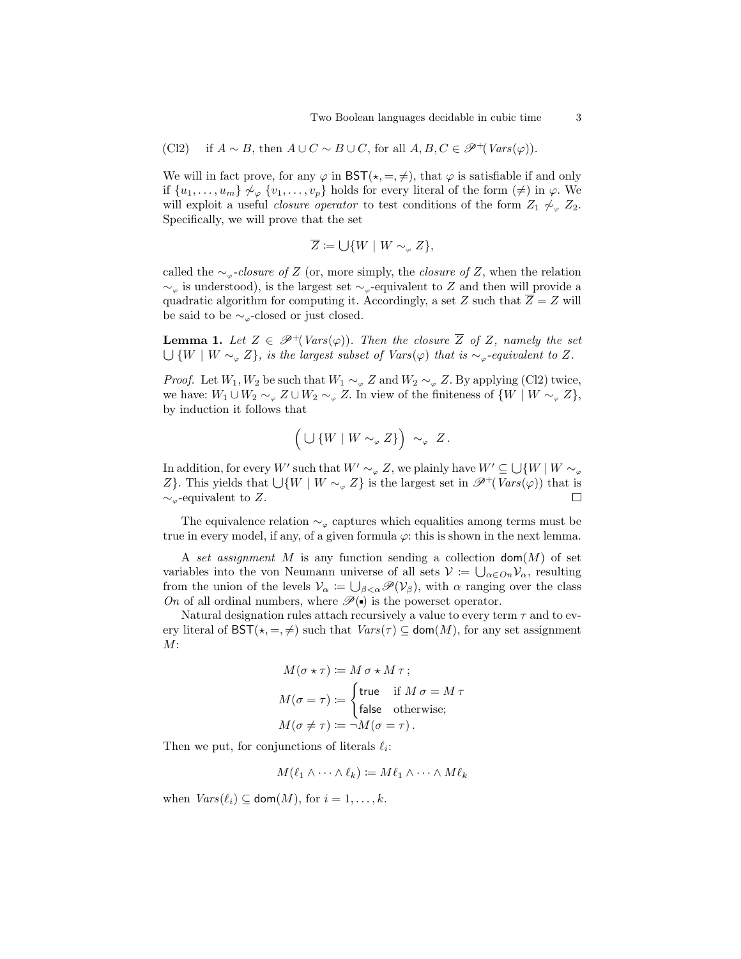<span id="page-2-0"></span>(Cl2) if  $A \sim B$ , then  $A \cup C \sim B \cup C$ , for all  $A, B, C \in \mathcal{P}^+(Vars(\varphi))$ .

We will in fact prove, for any  $\varphi$  in  $\mathsf{BST}(\star, =, \neq)$ , that  $\varphi$  is satisfiable if and only if  $\{u_1,\ldots,u_m\}\not\sim_\varphi \{v_1,\ldots,v_p\}$  holds for every literal of the form  $(\neq)$  in  $\varphi$ . We will exploit a useful *closure operator* to test conditions of the form  $Z_1 \not\sim_{\varphi} Z_2$ . Specifically, we will prove that the set

$$
\overline{Z} \coloneqq \cup \{W \mid W \sim_\varphi Z\},
$$

called the  $\sim_{\varphi}$ -closure of Z (or, more simply, the closure of Z, when the relation  $\sim_{\varphi}$  is understood), is the largest set  $\sim_{\varphi}$ -equivalent to Z and then will provide a quadratic algorithm for computing it. Accordingly, a set Z such that  $\overline{Z} = Z$  will be said to be  $\sim_{\varphi}$ -closed or just closed.

<span id="page-2-1"></span>**Lemma 1.** Let  $Z \in \mathcal{P}^+(Vars(\varphi))$ . Then the closure  $\overline{Z}$  of Z, namely the set  $\bigcup \{W \mid W \sim_{\alpha} Z\}$ , is the largest subset of Vars( $\varphi$ ) that is  $\sim_{\alpha}$ -equivalent to Z.

*Proof.* Let  $W_1, W_2$  be such that  $W_1 \sim_{\varphi} Z$  and  $W_2 \sim_{\varphi} Z$ . By applying [\(Cl2\)](#page-2-0) twice, we have:  $W_1 \cup W_2 \sim_{\varphi} Z \cup W_2 \sim_{\varphi} Z$ . In view of the finiteness of  $\{W \mid W \sim_{\varphi} Z\},$ by induction it follows that

$$
\left(\bigcup \left\{W \mid W \sim_{\varphi} Z\right\}\right) \sim_{\varphi} Z.
$$

In addition, for every W' such that  $W' \sim_{\varphi} Z$ , we plainly have  $W' \subseteq \bigcup \{W \mid W \sim_{\varphi} Z\}$ Z}. This yields that  $\bigcup \{W \mid W \sim_{\varphi} Z\}$  is the largest set in  $\mathscr{P}^+(Vars(\varphi))$  that is  $\sim_{\varphi}$ -equivalent to Z.  $\Box$ 

The equivalence relation  $\sim_{\varphi}$  captures which equalities among terms must be true in every model, if any, of a given formula  $\varphi$ : this is shown in the next lemma.

A set assignment M is any function sending a collection  $\text{dom}(M)$  of set variables into the von Neumann universe of all sets  $V = \bigcup_{\alpha \in On} V_{\alpha}$ , resulting from the union of the levels  $\mathcal{V}_{\alpha} := \bigcup_{\beta < \alpha} \mathcal{P}(\mathcal{V}_{\beta})$ , with  $\alpha$  ranging over the class On of all ordinal numbers, where  $\mathscr{P}(\bullet)$  is the powerset operator.

Natural designation rules attach recursively a value to every term  $\tau$  and to every literal of  $\mathsf{BST}(\star, =, \neq)$  such that  $Vars(\tau) \subseteq \mathsf{dom}(M)$ , for any set assignment  $M$ :

$$
M(\sigma \star \tau) := M \sigma \star M \tau;
$$
  
\n
$$
M(\sigma = \tau) := \begin{cases} \text{true} & \text{if } M \sigma = M \tau \\ \text{false} & \text{otherwise}; \end{cases}
$$
  
\n
$$
M(\sigma \neq \tau) := \neg M(\sigma = \tau).
$$

Then we put, for conjunctions of literals  $\ell_i$ :

 $M(\ell_1 \wedge \cdots \wedge \ell_k) \coloneqq M \ell_1 \wedge \cdots \wedge M \ell_k$ 

when  $Vars(\ell_i) \subseteq \text{dom}(M)$ , for  $i = 1, ..., k$ .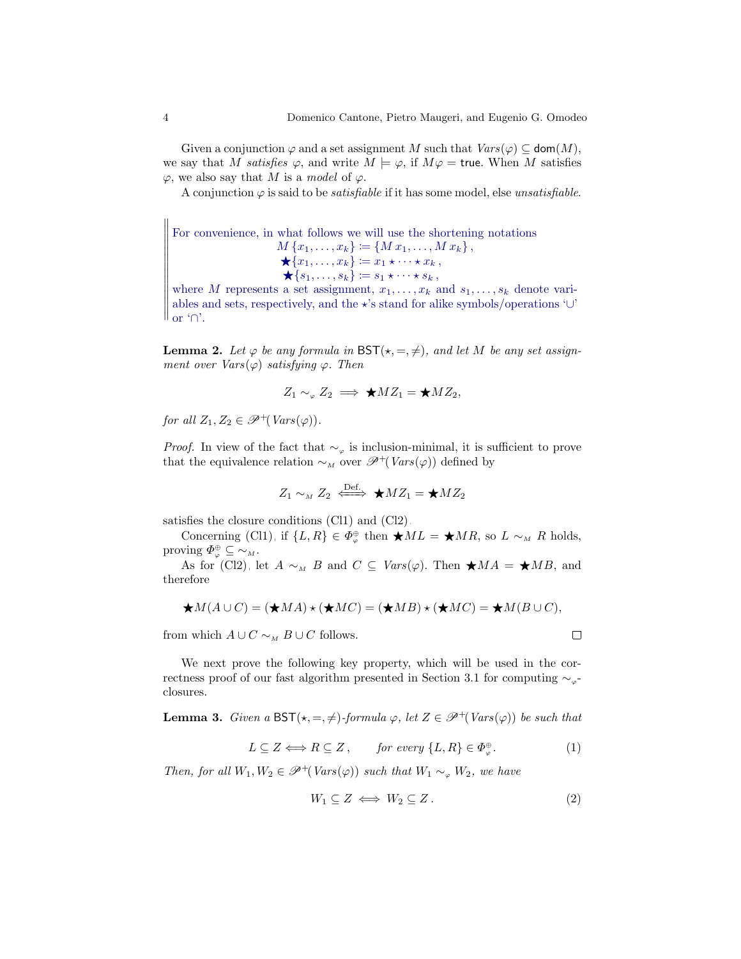Given a conjunction  $\varphi$  and a set assignment M such that  $Vars(\varphi) \subseteq \text{dom}(M)$ , we say that M satisfies  $\varphi$ , and write  $M \models \varphi$ , if  $M\varphi = \text{true}$ . When M satisfies  $\varphi$ , we also say that M is a model of  $\varphi$ .

A conjunction  $\varphi$  is said to be *satisfiable* if it has some model, else *unsatisfiable*.

For convenience, in what follows we will use the shortening notations  $M\{x_1,\ldots,x_k\} \coloneqq \{M\,x_1,\ldots,M\,x_k\},$  $\bigstar \{x_1, \ldots, x_k\} \coloneqq x_1 \star \cdots \star x_k$ ,  $\bigstar \{s_1, \ldots, s_k\} \coloneqq s_1 \star \cdots \star s_k,$ where M represents a set assignment,  $x_1, \ldots, x_k$  and  $s_1, \ldots, s_k$  denote vari-

╫ II II  $\int_{\alpha}^{\alpha} \int_{\alpha}^{\alpha}$  or ' $\cap$ '. ables and sets, respectively, and the  $\star$ 's stand for alike symbols/operations '∪'

<span id="page-3-0"></span>**Lemma 2.** Let  $\varphi$  be any formula in  $\mathsf{BST}(\star, =, \neq)$ , and let M be any set assignment over  $Vars(\varphi)$  satisfying  $\varphi$ . Then

$$
Z_1 \sim_{\varphi} Z_2 \implies \bigstar M Z_1 = \bigstar M Z_2,
$$

for all  $Z_1, Z_2 \in \mathscr{P}^+(Vars(\varphi))$ .

*Proof.* In view of the fact that  $\sim_{\varphi}$  is inclusion-minimal, it is sufficient to prove that the equivalence relation  $\sim_M$  over  $\mathscr{P}^+(Vars(\varphi))$  defined by

$$
Z_1 \sim_M Z_2 \iff \bigstar M Z_1 = \bigstar M Z_2
$$

satisfies the closure conditions [\(Cl1\)](#page-1-1) and [\(Cl2\).](#page-2-0)

Concerning [\(Cl1\),](#page-1-1) if  $\{L, R\} \in \Phi_{\varphi}^{\oplus}$  then  $\bigstar ML = \bigstar MR$ , so  $L \sim_M R$  holds, proving  $\Phi_{\varphi}^{\oplus} \subseteq \sim_M$ .

As for [\(Cl2\),](#page-2-0) let  $A \sim_M B$  and  $C \subseteq Vars(\varphi)$ . Then  $\star MA = \star MB$ , and therefore

$$
\bigstar M(A\cup C)=(\bigstar MA)\star (\bigstar MC)=(\bigstar MB)\star (\bigstar MC)=\bigstar M(C),
$$

from which  $A \cup C \sim_M B \cup C$  follows.

<span id="page-3-1"></span>We next prove the following key property, which will be used in the cor-rectness proof of our fast algorithm presented in Section [3.1](#page-6-0) for computing  $\sim_{\varphi}$ closures.

**Lemma 3.** Given a  $\text{BST}(\star, =, \neq)$ -formula  $\varphi$ , let  $Z \in \mathcal{P}^+(Vars(\varphi))$  be such that

 $L \subseteq Z \Longleftrightarrow R \subseteq Z$ , for every  $\{L, R\} \in \Phi_{\varphi}^{\oplus}$  $(1)$ 

Then, for all  $W_1, W_2 \in \mathscr{P}^+(Vars(\varphi))$  such that  $W_1 \sim_{\varphi} W_2$ , we have

$$
W_1 \subseteq Z \iff W_2 \subseteq Z. \tag{2}
$$

 $\Box$ 

 $\parallel$ II II II II II II II II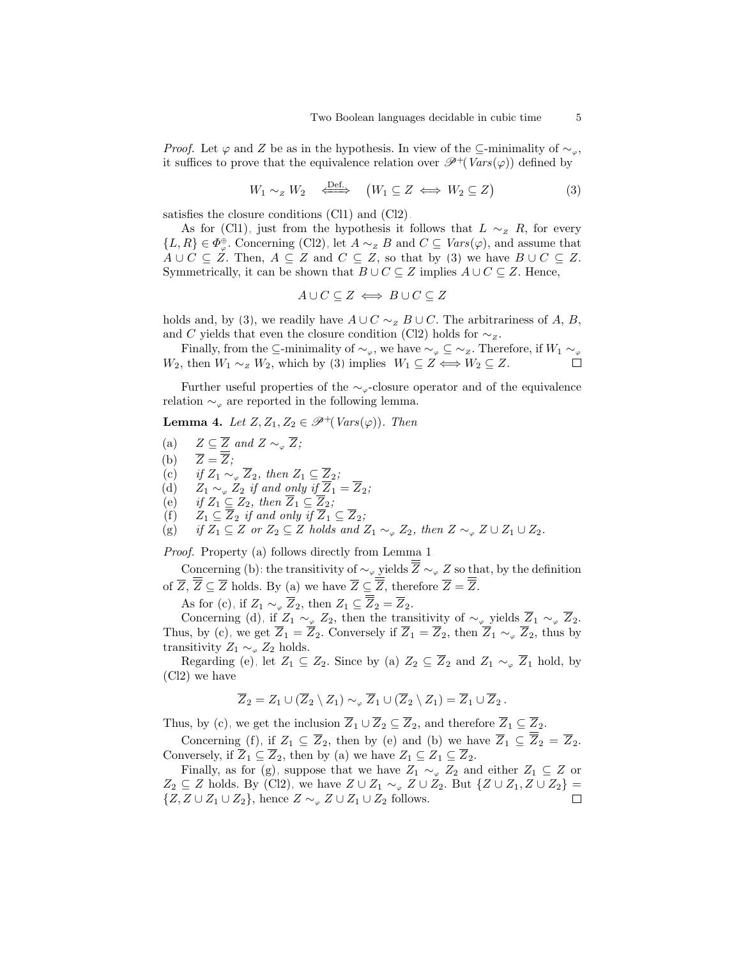*Proof.* Let  $\varphi$  and Z be as in the hypothesis. In view of the ⊆-minimality of  $\sim_{\varphi}$ , it suffices to prove that the equivalence relation over  $\mathscr{P}^+(Vars(\varphi))$  defined by

$$
W_1 \sim_Z W_2 \quad \stackrel{\text{Def.}}{\iff} \quad (W_1 \subseteq Z \iff W_2 \subseteq Z) \tag{3}
$$

satisfies the closure conditions [\(Cl1\)](#page-1-1) and [\(Cl2\).](#page-2-0)

As for [\(Cl1\),](#page-1-1) just from the hypothesis it follows that  $L \sim_Z R$ , for every  $\{L, R\} \in \Phi_{\varphi}^{\oplus}$ . Concerning [\(Cl2\),](#page-2-0) let  $A \sim_{Z} B$  and  $C \subseteq Vars(\varphi)$ , and assume that  $A \cup C \subseteq Z$ . Then,  $A \subseteq Z$  and  $C \subseteq Z$ , so that by [\(3\)](#page-4-0) we have  $B \cup C \subseteq Z$ . Symmetrically, it can be shown that  $B \cup C \subseteq Z$  implies  $A \cup C \subseteq Z$ . Hence,

<span id="page-4-8"></span><span id="page-4-0"></span>
$$
A \cup C \subseteq Z \iff B \cup C \subseteq Z
$$

holds and, by [\(3\)](#page-4-0), we readily have  $A \cup C \sim_{\mathbb{Z}} B \cup C$ . The arbitrariness of A, B, and C yields that even the closure condition [\(Cl2\)](#page-2-0) holds for  $\sim$ z.

Finally, from the ⊆-minimality of  $\sim_{\varphi}$ , we have  $\sim_{\varphi}$  ⊆  $\sim_{Z}$ . Therefore, if  $W_1 \sim_{\varphi}$  $W_2$ , then  $W_1 \sim_Z W_2$ , which by [\(3\)](#page-4-0) implies  $W_1 \subseteq Z \Longleftrightarrow W_2 \subseteq Z$ . П

Further useful properties of the  $\sim_{\varphi}$ -closure operator and of the equivalence relation  $\sim_{\varphi}$  are reported in the following lemma.

**Lemma 4.** Let  $Z, Z_1, Z_2 \in \mathcal{P}^+(Vars(\varphi))$ . Then

- <span id="page-4-1"></span>(a)  $Z \subseteq \overline{Z}$  and  $Z \sim_{\varphi} \overline{Z}$ ;
- <span id="page-4-2"></span>(b)  $\overline{Z} = \overline{\overline{Z}}$ ;
- <span id="page-4-3"></span>(c) if  $Z_1 \sim_{\varphi} \overline{Z}_2$ , then  $Z_1 \subseteq \overline{Z}_2$ ;
- <span id="page-4-4"></span>(d)  $Z_1 \sim_{\varphi} Z_2$  if and only if  $Z_1 = Z_2$ ;
- <span id="page-4-5"></span>(e) if  $Z_1 \subseteq Z_2$ , then  $\overline{Z}_1 \subseteq \overline{Z}_2$ ;
- <span id="page-4-6"></span>(f)  $Z_1 \subseteq \overline{Z}_2$  if and only if  $\overline{Z}_1 \subseteq \overline{Z}_2$ ;

<span id="page-4-7"></span>(g) if  $Z_1 \subseteq Z$  or  $Z_2 \subseteq Z$  holds and  $Z_1 \sim_{\varphi} Z_2$ , then  $Z \sim_{\varphi} Z \cup Z_1 \cup Z_2$ .

Proof. Property [\(a\)](#page-4-1) follows directly from Lemma [1.](#page-2-1)

Concerning [\(b\):](#page-4-2) the transitivity of  $\sim_{\varphi}$  yields  $\overline{Z} \sim_{\varphi} Z$  so that, by the definition of  $\overline{Z}$ ,  $\overline{\overline{Z}} \subseteq \overline{Z}$  holds. By [\(a\)](#page-4-1) we have  $\overline{Z} \subseteq \overline{\overline{Z}}$ , therefore  $\overline{Z} = \overline{\overline{Z}}$ .

As for [\(c\),](#page-4-3) if  $Z_1 \sim_{\varphi} \overline{Z}_2$ , then  $Z_1 \subseteq \overline{Z}_2 = \overline{Z}_2$ .

Concerning [\(d\),](#page-4-4) if  $Z_1 \sim_{\varphi} Z_2$ , then the transitivity of  $\sim_{\varphi}$  yields  $\overline{Z}_1 \sim_{\varphi} \overline{Z}_2$ . Thus, by [\(c\),](#page-4-3) we get  $\overline{Z}_1 = \overline{Z}_2$ . Conversely if  $\overline{Z}_1 = \overline{Z}_2$ , then  $\overline{Z}_1 \sim_\varphi \overline{Z}_2$ , thus by transitivity  $Z_1 \sim_{\varphi} Z_2$  holds.

Regarding [\(e\),](#page-4-5) let  $Z_1 \subseteq Z_2$ . Since by [\(a\)](#page-4-1)  $Z_2 \subseteq \overline{Z}_2$  and  $Z_1 \sim_{\varphi} \overline{Z}_1$  hold, by [\(Cl2\)](#page-2-0) we have

$$
\overline{Z}_2 = Z_1 \cup (\overline{Z}_2 \setminus Z_1) \sim_{\varphi} \overline{Z}_1 \cup (\overline{Z}_2 \setminus Z_1) = \overline{Z}_1 \cup \overline{Z}_2.
$$

Thus, by [\(c\),](#page-4-3) we get the inclusion  $\overline{Z}_1 \cup \overline{Z}_2 \subseteq \overline{Z}_2$ , and therefore  $\overline{Z}_1 \subseteq \overline{Z}_2$ .

Concerning [\(f\),](#page-4-6) if  $Z_1 \subseteq \overline{Z}_2$ , then by [\(e\)](#page-4-5) and [\(b\)](#page-4-2) we have  $\overline{Z}_1 \subseteq \overline{Z}_2 = \overline{Z}_2$ . Conversely, if  $\overline{Z}_1 \subseteq \overline{Z}_2$ , then by [\(a\)](#page-4-1) we have  $Z_1 \subseteq \overline{Z}_1 \subseteq \overline{Z}_2$ .

Finally, as for [\(g\),](#page-4-7) suppose that we have  $Z_1 \sim_{\varphi} Z_2$  and either  $Z_1 \subseteq Z$  or  $Z_2 \subseteq Z$  holds. By [\(Cl2\),](#page-2-0) we have  $Z \cup Z_1 \sim_{\varphi} Z \cup Z_2$ . But  $\{Z \cup Z_1, Z \cup Z_2\} =$  $\{Z, Z \cup Z_1 \cup Z_2\}$ , hence  $Z \sim_{\varphi} Z \cup Z_1 \cup Z_2$  follows.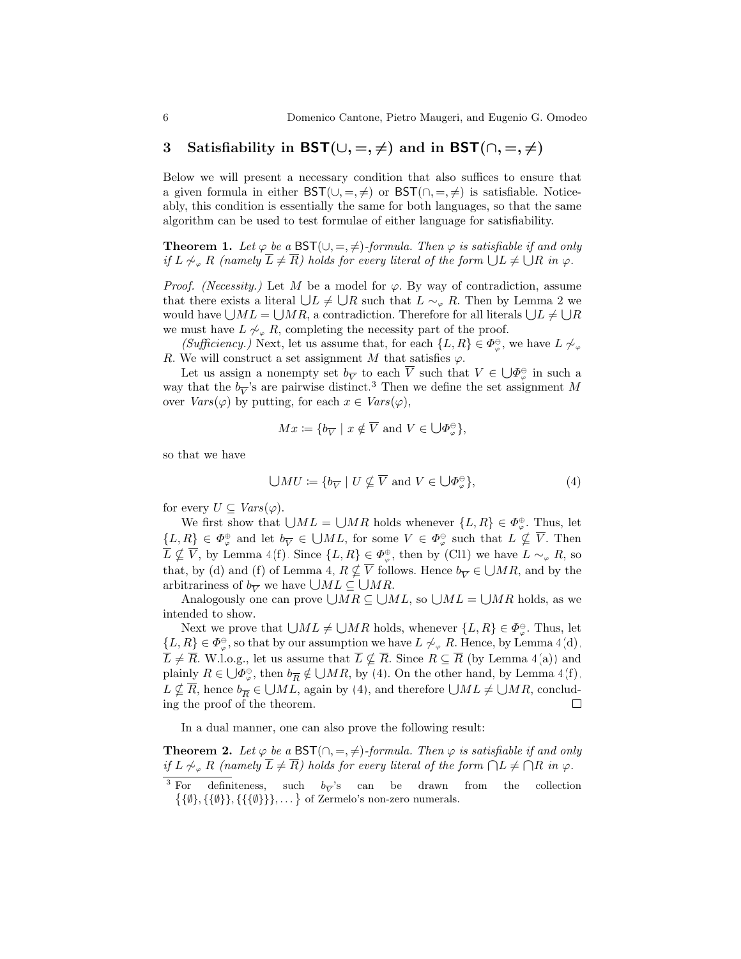## <span id="page-5-0"></span>3 Satisfiability in BST( $\cup, =, \neq$ ) and in BST( $\cap, =, \neq$ )

Below we will present a necessary condition that also suffices to ensure that a given formula in either  $\mathsf{BST}(\cup, =, \neq)$  or  $\mathsf{BST}(\cap, =, \neq)$  is satisfiable. Noticeably, this condition is essentially the same for both languages, so that the same algorithm can be used to test formulae of either language for satisfiability.

<span id="page-5-3"></span>**Theorem 1.** Let  $\varphi$  be a BST( $\cup$ , =,  $\neq$ )-formula. Then  $\varphi$  is satisfiable if and only if L  $\nsim_{\alpha} R$  (namely  $\overline{L} \neq \overline{R}$ ) holds for every literal of the form  $\bigcup L \neq \bigcup R$  in  $\varphi$ .

*Proof.* (Necessity.) Let M be a model for  $\varphi$ . By way of contradiction, assume that there exists a literal  $\bigcup L \neq \bigcup R$  such that  $L \sim_{\varphi} R$ . Then by Lemma [2](#page-3-0) we would have  $\bigcup ML = \bigcup MR$ , a contradiction. Therefore for all literals  $\bigcup L \neq \bigcup R$ we must have  $L \not\sim_{\varphi} R$ , completing the necessity part of the proof.

(Sufficiency.) Next, let us assume that, for each  $\{L, R\} \in \Phi_{\varphi}^{\ominus}$ , we have  $L \not\sim_{\varphi}$ R. We will construct a set assignment M that satisfies  $\varphi$ .

Let us assign a nonempty set  $b_{\overline{V}}$  to each  $\overline{V}$  such that  $V \in \bigcup_{\varphi} \Phi^{\ominus}_{\varphi}$  in such a way that the  $b_{\overline{V}}$ 's are pairwise distinct.<sup>[3](#page-5-1)</sup> Then we define the set assignment M over  $Vars(\varphi)$  by putting, for each  $x \in Vars(\varphi)$ ,

$$
Mx \coloneqq \{b_{\overline{V}} \mid x \notin \overline{V} \text{ and } V \in \bigcup \varPhi_{\varphi}^{\ominus} \},\
$$

so that we have

<span id="page-5-2"></span>
$$
\bigcup MU := \{ b_{\overline{V}} \mid U \nsubseteq \overline{V} \text{ and } V \in \bigcup \Phi_{\varphi}^{\ominus} \},\tag{4}
$$

for every  $U \subseteq Vars(\varphi)$ .

We first show that  $\bigcup ML = \bigcup MR$  holds whenever  $\{L, R\} \in \Phi_{\varphi}^{\oplus}$ . Thus, let  $\{L, R\} \in \Phi_{\varphi}^{\oplus}$  and let  $b_{\overline{V}} \in \bigcup ML$ , for some  $V \in \Phi_{\varphi}^{\ominus}$  such that  $L \nsubseteq \overline{V}$ . Then  $\overline{L} \nsubseteq \overline{V}$ , by Lemma [4](#page-4-8)[\(f\).](#page-4-6) Since  $\{L, R\} \in \Phi_{\varphi}^{\oplus}$ , then by [\(Cl1\)](#page-1-1) we have  $L \sim_{\varphi} R$ , so that, by [\(d\)](#page-4-4) and [\(f\)](#page-4-6) of Lemma [4,](#page-4-8)  $R \nsubseteq \overline{V}$  follows. Hence  $b_{\overline{V}} \in \bigcup MR$ , and by the arbitrariness of  $b_{\overline{V}}$  we have  $\bigcup ML \subseteq \bigcup MR$ .

Analogously one can prove  $\bigcup MR \subseteq \bigcup ML$ , so  $\bigcup ML = \bigcup MR$  holds, as we intended to show.

Next we prove that  $\bigcup ML \neq \bigcup MR$  holds, whenever  $\{L, R\} \in \Phi_{\varphi}^{\ominus}$ . Thus, let  $\{L, R\} \in \Phi_{\varphi}^{\ominus}$ , so that by our assumption we have  $L \not\sim_{\varphi} R$ . Hence, by Lemma [4](#page-4-8)[\(d\),](#page-4-4)  $\overline{L} \neq \overline{R}$ . W.l.o.g., let us assume that  $\overline{L} \nsubseteq \overline{R}$ . Since  $R \subseteq \overline{R}$  (by Lemma [4](#page-4-8)[\(a\)\)](#page-4-1) and plainly  $R \in \bigcup_{\Phi \in \Theta} \Phi^{\ominus}_{\varphi}$ , then  $b_{\overline{R}} \notin \bigcup_{\Phi \in \Theta} R$ , by [\(4\)](#page-5-2). On the other hand, by Lemma [4](#page-4-8)[\(f\),](#page-4-6)  $L \nsubseteq \overline{R}$ , hence  $b_{\overline{R}} \in \bigcup ML$ , again by [\(4\)](#page-5-2), and therefore  $\bigcup ML \neq \bigcup MR$ , concluding the proof of the theorem. ing the proof of the theorem.

<span id="page-5-4"></span>In a dual manner, one can also prove the following result:

**Theorem 2.** Let  $\varphi$  be a BST( $\cap$ , =,  $\neq$ )-formula. Then  $\varphi$  is satisfiable if and only if  $L \not\sim_{\varphi} R$  (namely  $\overline{L} \neq \overline{R}$ ) holds for every literal of the form  $\bigcap L \neq \bigcap R$  in  $\varphi$ .

<span id="page-5-1"></span><sup>&</sup>lt;sup>3</sup> For definiteness, such  $b_{\overline{V}}$ 's can be drawn from the collection  $\{\{\emptyset\},\{\{\emptyset\}\},\{\{\{\emptyset\}\}\}\}\ldots\}$  of Zermelo's non-zero numerals.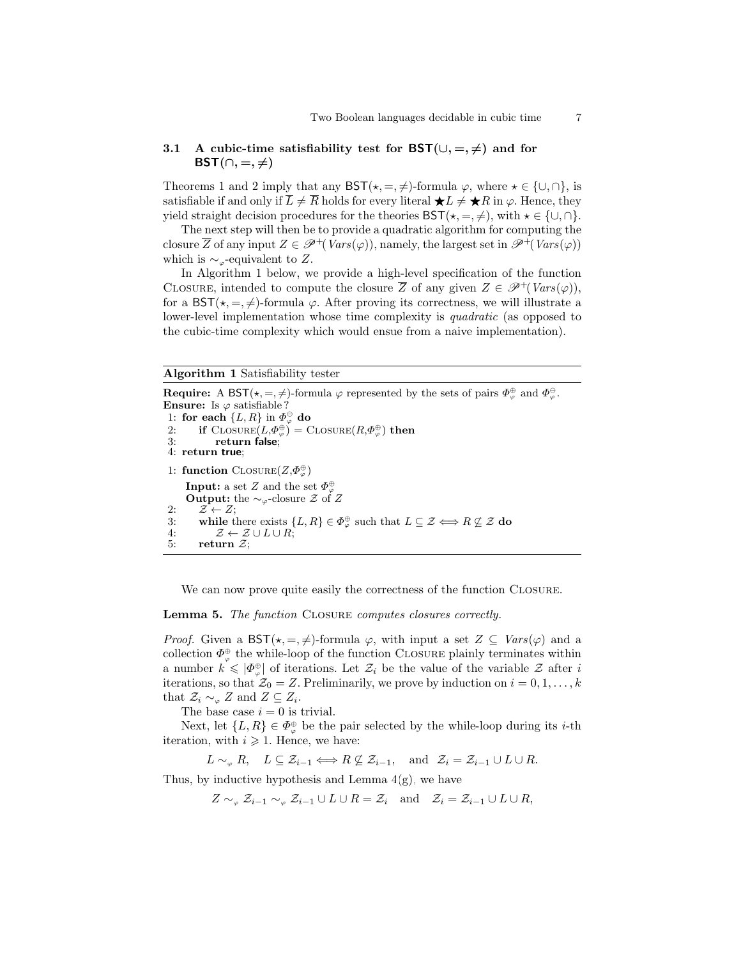#### <span id="page-6-0"></span>3.1 A cubic-time satisfiability test for  $\mathsf{BST}(\cup, =, \neq)$  and for BST $(∩, =, ≠)$

Theorems [1](#page-5-3) and [2](#page-5-4) imply that any  $\mathsf{BST}(\star, =, \neq)$ -formula  $\varphi$ , where  $\star \in \{\cup, \cap\}$ , is satisfiable if and only if  $L \neq R$  holds for every literal  $\bigstar L \neq \bigstar R$  in  $\varphi$ . Hence, they yield straight decision procedures for the theories  $\mathsf{BST}(\star, =, \neq),$  with  $\star \in \{\cup, \cap\}.$ 

The next step will then be to provide a quadratic algorithm for computing the closure  $\overline{Z}$  of any input  $Z \in \mathscr{P}^+(Vars(\varphi))$ , namely, the largest set in  $\mathscr{P}^+(Vars(\varphi))$ which is  $\sim_{\varphi}$ -equivalent to Z.

In Algorithm [1](#page-6-1) below, we provide a high-level specification of the function CLOSURE, intended to compute the closure  $\overline{Z}$  of any given  $Z \in \mathscr{P}^+(Vars(\varphi))$ , for a BST( $\star, =, \neq$ )-formula  $\varphi$ . After proving its correctness, we will illustrate a lower-level implementation whose time complexity is *quadratic* (as opposed to the cubic-time complexity which would ensue from a naive implementation).

#### Algorithm 1 Satisfiability tester

<span id="page-6-1"></span>**Require:** A BST( $\star$ , =,  $\neq$ )-formula  $\varphi$  represented by the sets of pairs  $\Phi_{\varphi}^{\oplus}$  and  $\Phi_{\varphi}^{\ominus}$ . **Ensure:** Is  $\varphi$  satisfiable? 1: for each  $\{L, R\}$  in  $\Phi_{\varphi}^{\oplus}$  do 2: if  $\text{ClosURE}(L, \Phi^{\oplus}_{\varphi}) = \text{ClosURE}(R, \Phi^{\oplus}_{\varphi})$  then 3: return false; 4: return true; 1: function CLOSURE $(Z,\Phi_{\varphi}^{\oplus})$ **Input:** a set Z and the set  $\Phi_{\varphi}^{\oplus}$ **Output:** the  $\sim_{\varphi}$ -closure Z of Z 2:  $\mathcal{Z} \leftarrow Z$ ; 3: while there exists  $\{L, R\} \in \Phi_{\varphi}^{\oplus}$  such that  $L \subseteq \mathcal{Z} \Longleftrightarrow R \not\subseteq \mathcal{Z}$  do 4:  $\mathcal{Z} \leftarrow \mathcal{Z} \cup L \cup R;$ <br>5: return  $\mathcal{Z};$ return  $\mathcal{Z}$ ;

We can now prove quite easily the correctness of the function CLOSURE.

<span id="page-6-2"></span>Lemma 5. The function CLOSURE computes closures correctly.

*Proof.* Given a  $\mathsf{BST}(*, =, \neq)$ -formula  $\varphi$ , with input a set  $Z \subseteq \text{Vars}(\varphi)$  and a collection  $\Phi_{\varphi}^{\oplus}$  the while-loop of the function CLOSURE plainly terminates within a number  $k \leqslant |\Phi_{\varphi}^{\oplus}|$  of iterations. Let  $\mathcal{Z}_i$  be the value of the variable  $\mathcal Z$  after i iterations, so that  $\mathcal{Z}_0 = Z$ . Preliminarily, we prove by induction on  $i = 0, 1, \ldots, k$ that  $\mathcal{Z}_i \sim_{\varphi} Z$  and  $Z \subseteq Z_i$ .

The base case  $i = 0$  is trivial.

Next, let  $\{L, R\} \in \Phi_{\varphi}^{\oplus}$  be the pair selected by the while-loop during its *i*-th iteration, with  $i \geqslant 1$ . Hence, we have:

$$
L \sim_{\varphi} R
$$
,  $L \subseteq \mathcal{Z}_{i-1} \Longleftrightarrow R \not\subseteq \mathcal{Z}_{i-1}$ , and  $\mathcal{Z}_i = \mathcal{Z}_{i-1} \cup L \cup R$ .

Thus, by inductive hypothesis and Lemma  $4(g)$ , we have

$$
Z \sim_{\varphi} Z_{i-1} \sim_{\varphi} Z_{i-1} \cup L \cup R = Z_i
$$
 and  $Z_i = Z_{i-1} \cup L \cup R$ ,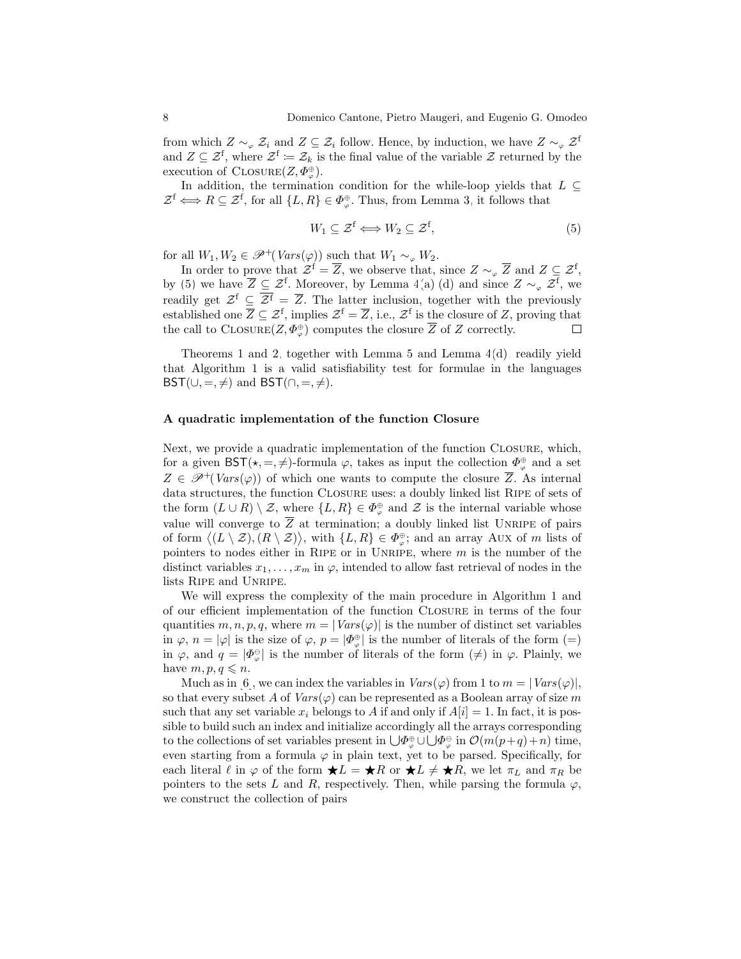from which  $Z \sim_{\varphi} \mathcal{Z}_i$  and  $Z \subseteq \mathcal{Z}_i$  follow. Hence, by induction, we have  $Z \sim_{\varphi} \mathcal{Z}^{\text{f}}$ and  $Z \subseteq \mathcal{Z}^f$ , where  $\mathcal{Z}^f := \mathcal{Z}_k$  is the final value of the variable  $\mathcal{Z}$  returned by the execution of  $\text{ClosURE}(Z, \Phi_{\varphi}^{\oplus})$ .

In addition, the termination condition for the while-loop yields that  $L \subseteq$  $\mathcal{Z}^f \Longleftrightarrow R \subseteq \mathcal{Z}^f$ , for all  $\{L, R\} \in \Phi_{\varphi}^{\oplus}$ . Thus, from Lemma [3,](#page-3-1) it follows that

<span id="page-7-0"></span>
$$
W_1 \subseteq \mathcal{Z}^f \Longleftrightarrow W_2 \subseteq \mathcal{Z}^f,\tag{5}
$$

for all  $W_1, W_2 \in \mathscr{P}^+(Vars(\varphi))$  such that  $W_1 \sim_\varphi W_2$ .

In order to prove that  $\mathcal{Z}^f = \overline{Z}$ , we observe that, since  $Z \sim_{\varphi} \overline{Z}$  and  $Z \subseteq \mathcal{Z}^f$ , by [\(5\)](#page-7-0) we have  $\overline{Z} \subseteq \mathcal{Z}^f$ . Moreover, by Lemma [4](#page-4-8)[\(a\),](#page-4-1)[\(d\)](#page-4-4) and since  $Z \sim_{\varphi} \mathcal{Z}^f$ , we readily get  $\mathcal{Z}^{\mathsf{f}} \subseteq \overline{\mathcal{Z}^{\mathsf{f}}} = \overline{\mathcal{Z}}$ . The latter inclusion, together with the previously established one  $\overline{Z} \subseteq \mathcal{Z}^{\mathsf{f}}$ , implies  $\mathcal{Z}^{\mathsf{f}} = \overline{Z}$ , i.e.,  $\mathcal{Z}^{\mathsf{f}}$  is the closure of Z, proving that the call to CLOSURE $(Z, \Phi_{\varphi}^{\oplus})$  computes the closure  $\overline{Z}$  of Z correctly.  $\Box$ 

Theorems [1](#page-5-3) and [2,](#page-5-4) together with Lemma [5](#page-6-2) and Lemma [4](#page-4-8)[\(d\),](#page-4-4) readily yield that Algorithm [1](#page-6-1) is a valid satisfiability test for formulae in the languages  $\mathsf{BST}(\cup, =, \neq)$  and  $\mathsf{BST}(\cap, =, \neq)$ .

#### <span id="page-7-1"></span>A quadratic implementation of the function Closure

Next, we provide a quadratic implementation of the function Closure, which, for a given  $\mathsf{BST}(\star, =, \neq)$ -formula  $\varphi$ , takes as input the collection  $\Phi_{\varphi}^{\oplus}$  and a set  $Z \in \mathscr{P}^{+}(Vars(\varphi))$  of which one wants to compute the closure  $\overline{Z}$ . As internal data structures, the function CLOSURE uses: a doubly linked list RIPE of sets of the form  $(L \cup R) \setminus \mathcal{Z}$ , where  $\{L, R\} \in \Phi_{\varphi}^{\oplus}$  and  $\mathcal{Z}$  is the internal variable whose value will converge to  $\overline{Z}$  at termination; a doubly linked list UNRIPE of pairs of form  $\langle (L \setminus \mathcal{Z}), (R \setminus \mathcal{Z}) \rangle$ , with  $\{L, R\} \in \Phi_{\varphi}^{\oplus}$ ; and an array Aux of m lists of pointers to nodes either in RIPE or in UNRIPE, where  $m$  is the number of the distinct variables  $x_1, \ldots, x_m$  in  $\varphi$ , intended to allow fast retrieval of nodes in the lists Ripe and Unripe.

We will express the complexity of the main procedure in Algorithm [1](#page-6-1) and of our efficient implementation of the function Closure in terms of the four quantities  $m, n, p, q$ , where  $m = |Vars(\varphi)|$  is the number of distinct set variables in  $\varphi$ ,  $n = |\varphi|$  is the size of  $\varphi$ ,  $p = |\varPhi_{\varphi}^{\oplus}|$  is the number of literals of the form  $(=)$ in  $\varphi$ , and  $q = |\Phi_{\varphi}^{\ominus}|$  is the number of literals of the form  $(\neq)$  in  $\varphi$ . Plainly, we have  $m, p, q \leq n$ .

Much as in [\[6\]](#page-12-5), we can index the variables in  $Vars(\varphi)$  from 1 to  $m = |Vars(\varphi)|$ , so that every subset A of  $Vars(\varphi)$  can be represented as a Boolean array of size m such that any set variable  $x_i$  belongs to A if and only if  $A[i] = 1$ . In fact, it is possible to build such an index and initialize accordingly all the arrays corresponding to the collections of set variables present in  $\bigcup \Phi_{\varphi}^{\oplus} \cup \bigcup \Phi_{\varphi}^{\ominus}$  in  $\mathcal{O}(m(p+q)+n)$  time, even starting from a formula  $\varphi$  in plain text, yet to be parsed. Specifically, for each literal  $\ell$  in  $\varphi$  of the form  $\bigstar L = \bigstar R$  or  $\bigstar L \neq \bigstar R$ , we let  $\pi_L$  and  $\pi_R$  be pointers to the sets L and R, respectively. Then, while parsing the formula  $\varphi$ , we construct the collection of pairs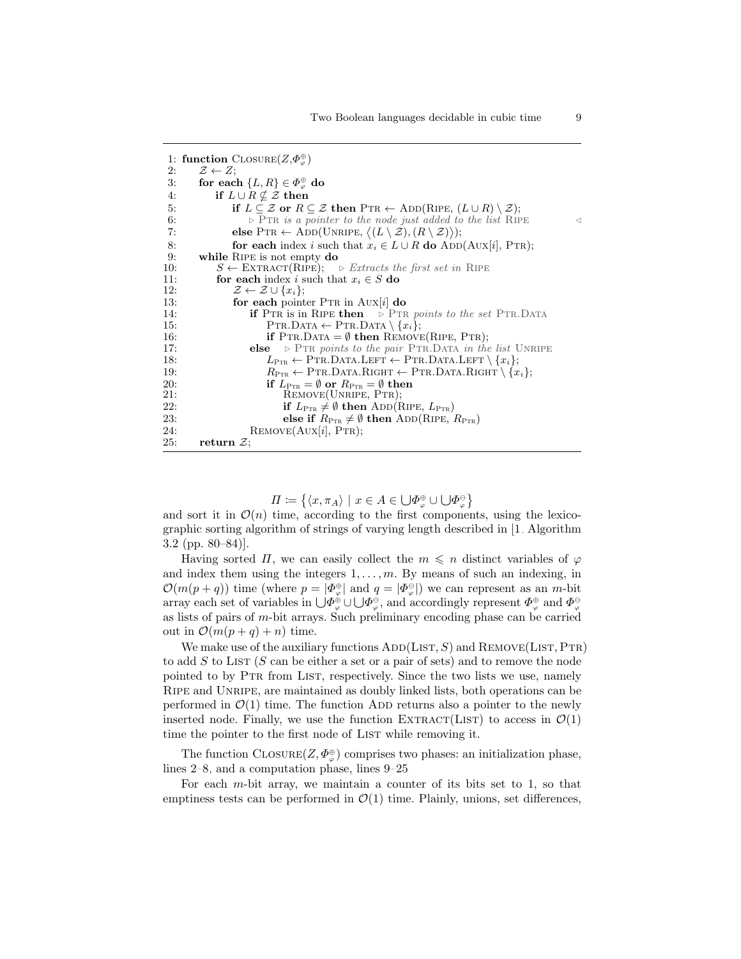|     | 1: function $\text{ClosURE}(Z,\Phi_{\varphi}^{\oplus})$                                                                                           |  |
|-----|---------------------------------------------------------------------------------------------------------------------------------------------------|--|
| 2:  | $\mathcal{Z} \leftarrow Z;$                                                                                                                       |  |
| 3:  | for each $\{L,R\} \in \Phi_{\varphi}^{\oplus}$ do                                                                                                 |  |
| 4:  | if $L \cup R \nsubseteq \mathcal{Z}$ then                                                                                                         |  |
| 5:  | if $L \subseteq \mathcal{Z}$ or $R \subseteq \mathcal{Z}$ then $\text{PTR} \leftarrow \text{ADD}(\text{RIPE}, (L \cup R) \setminus \mathcal{Z});$ |  |
| 6:  | $\triangleright$ PTR is a pointer to the node just added to the list RIPE                                                                         |  |
| 7:  | else PTR $\leftarrow$ ADD(UNRIPE, $\langle (L \setminus \mathcal{Z}), (R \setminus \mathcal{Z}) \rangle$ );                                       |  |
| 8:  | for each index i such that $x_i \in L \cup R$ do ADD(AUX[i], PTR);                                                                                |  |
| 9:  | while RIPE is not empty do                                                                                                                        |  |
| 10: | $S \leftarrow \text{EXTRACT}(\text{RIDE}); \Rightarrow \text{Extracts the first set in RIDE}$                                                     |  |
| 11: | for each index <i>i</i> such that $x_i \in S$ do                                                                                                  |  |
| 12: | $\mathcal{Z} \leftarrow \mathcal{Z} \cup \{x_i\};$                                                                                                |  |
| 13: | for each pointer $PTR$ in $AUX[i]$ do                                                                                                             |  |
| 14: | <b>if</b> PTR is in RIPE then $\triangleright$ PTR points to the set PTR. DATA                                                                    |  |
| 15: | PTR.DATA $\leftarrow$ PTR.DATA $\setminus \{x_i\};$                                                                                               |  |
| 16: | <b>if</b> PTR.DATA = $\emptyset$ then REMOVE(RIPE, PTR);                                                                                          |  |
| 17: | $\triangleright$ PTR points to the pair PTR. DATA in the list UNRIPE<br>else                                                                      |  |
| 18: | $L_{\text{PrR}} \leftarrow \text{PrR.DATA.LEFT} \leftarrow \text{PrR.DATA.LEFT} \setminus \{x_i\};$                                               |  |
| 19: | $R_{\text{PTR}} \leftarrow \text{PTR.DATA.RIGHT} \leftarrow \text{PTR.DATA.RIGHT} \setminus \{x_i\};$                                             |  |
| 20: | if $L_{\text{PTR}} = \emptyset$ or $R_{\text{PTR}} = \emptyset$ then                                                                              |  |
| 21: | REMOVE(UNRIPE, PTR);                                                                                                                              |  |
| 22: | if $L_{\text{PTR}} \neq \emptyset$ then ADD(RIPE, $L_{\text{PTR}}$ )                                                                              |  |
| 23: | else if $R_{\text{PTR}} \neq \emptyset$ then ADD(RIPE, $R_{\text{PTR}}$ )                                                                         |  |
| 24: | REMOVE(AUX[i], PTR);                                                                                                                              |  |
| 25: | return $\mathcal{Z}$ ;                                                                                                                            |  |

$$
\varPi \coloneqq \left\{ \langle x, \pi_A \rangle \mid x \in A \in \bigcup \varPhi_{\varphi}^{\oplus} \cup \bigcup \varPhi_{\varphi}^{\ominus} \right\}
$$

and sort it in  $\mathcal{O}(n)$  time, according to the first components, using the lexicographic sorting algorithm of strings of varying length described in [\[1,](#page-11-0) Algorithm 3.2 (pp. 80–84)].

Having sorted  $\Pi$ , we can easily collect the  $m \leq n$  distinct variables of  $\varphi$ and index them using the integers  $1, \ldots, m$ . By means of such an indexing, in  $\mathcal{O}(m(p+q))$  time (where  $p = |\Phi_{\varphi}^{\oplus}|$  and  $q = |\Phi_{\varphi}^{\ominus}|$ ) we can represent as an m-bit array each set of variables in  $\bigcup \Phi_{\varphi}^{\oplus} \cup \bigcup \Phi_{\varphi}^{\ominus}$ , and accordingly represent  $\Phi_{\varphi}^{\oplus}$  and  $\Phi_{\varphi}^{\ominus}$ as lists of pairs of m-bit arrays. Such preliminary encoding phase can be carried out in  $\mathcal{O}(m(p+q)+n)$  time.

We make use of the auxiliary functions  $ADD(LIST, S)$  and  $REMove(LIST, PTR)$ to add  $S$  to LIST  $(S \text{ can be either a set or a pair of sets})$  and to remove the node pointed to by PTR from LIST, respectively. Since the two lists we use, namely RIPE and UNRIPE, are maintained as doubly linked lists, both operations can be performed in  $\mathcal{O}(1)$  time. The function ADD returns also a pointer to the newly inserted node. Finally, we use the function EXTRACT(LIST) to access in  $\mathcal{O}(1)$ time the pointer to the first node of LIST while removing it.

The function CLOSURE $(Z, \Phi_{\varphi}^{\oplus})$  comprises two phases: an initialization phase, lines [2–8,](#page-7-1) and a computation phase, lines [9–25.](#page-7-1)

For each m-bit array, we maintain a counter of its bits set to 1, so that emptiness tests can be performed in  $\mathcal{O}(1)$  time. Plainly, unions, set differences,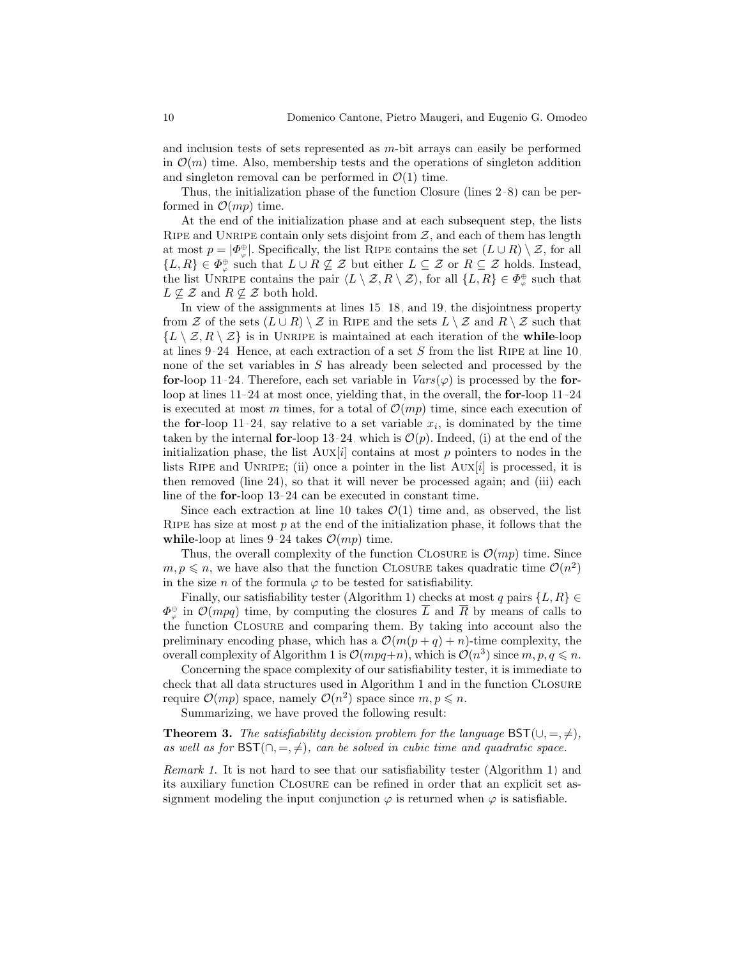and inclusion tests of sets represented as m-bit arrays can easily be performed in  $\mathcal{O}(m)$  time. Also, membership tests and the operations of singleton addition and singleton removal can be performed in  $\mathcal{O}(1)$  time.

Thus, the initialization phase of the function Closure (lines [2–8\)](#page-7-1) can be performed in  $\mathcal{O}(mp)$  time.

At the end of the initialization phase and at each subsequent step, the lists RIPE and UNRIPE contain only sets disjoint from  $Z$ , and each of them has length at most  $p = |\Phi_{\varphi}^{\oplus}|$ . Specifically, the list RIPE contains the set  $(L \cup R) \setminus \mathcal{Z}$ , for all  $\{L, R\} \in \Phi_{\varphi}^{\oplus}$  such that  $L \cup R \not\subseteq \mathcal{Z}$  but either  $L \subseteq \mathcal{Z}$  or  $R \subseteq \mathcal{Z}$  holds. Instead, the list UNRIPE contains the pair  $\langle L \setminus \mathcal{Z}, R \setminus \mathcal{Z} \rangle$ , for all  $\{L, R\} \in \Phi_{\varphi}^{\oplus}$  such that  $L \not\subseteq \mathcal{Z}$  and  $R \not\subseteq \mathcal{Z}$  both hold.

In view of the assignments at lines [15, 18,](#page-7-1) and [19,](#page-7-1) the disjointness property from Z of the sets  $(L \cup R) \setminus \mathcal{Z}$  in RIPE and the sets  $L \setminus \mathcal{Z}$  and  $R \setminus \mathcal{Z}$  such that  $\{L \setminus Z, R \setminus Z\}$  is in UNRIPE is maintained at each iteration of the while-loop at lines [9–24.](#page-7-1) Hence, at each extraction of a set  $S$  from the list RIPE at line [10,](#page-7-1) none of the set variables in S has already been selected and processed by the for-loop [11–24.](#page-7-1) Therefore, each set variable in  $Vars(\varphi)$  is processed by the forloop at lines [11–24](#page-7-1) at most once, yielding that, in the overall, the for-loop [11–24](#page-7-1) is executed at most m times, for a total of  $\mathcal{O}(mp)$  time, since each execution of the **for**-loop [11–24,](#page-7-1) say relative to a set variable  $x_i$ , is dominated by the time taken by the internal for-loop [13–24,](#page-7-1) which is  $\mathcal{O}(p)$ . Indeed, (i) at the end of the initialization phase, the list  $AUX[i]$  contains at most p pointers to nodes in the lists RIPE and UNRIPE; (ii) once a pointer in the list  $AUX[i]$  is processed, it is then removed (line [24\)](#page-7-1), so that it will never be processed again; and (iii) each line of the for-loop [13–24](#page-7-1) can be executed in constant time.

Since each extraction at line [10](#page-7-1) takes  $\mathcal{O}(1)$  time and, as observed, the list RIPE has size at most  $p$  at the end of the initialization phase, it follows that the while-loop at lines [9–24](#page-7-1) takes  $\mathcal{O}(mp)$  time.

Thus, the overall complexity of the function CLOSURE is  $\mathcal{O}(mp)$  time. Since  $m, p \leq n$ , we have also that the function CLOSURE takes quadratic time  $\mathcal{O}(n^2)$ in the size n of the formula  $\varphi$  to be tested for satisfiability.

Finally, our satisfiability tester (Algorithm [1\)](#page-6-1) checks at most q pairs  $\{L, R\} \in$  $\Phi_{\varphi}^{\ominus}$  in  $\mathcal{O}(mpq)$  time, by computing the closures  $\overline{L}$  and  $\overline{R}$  by means of calls to the function Closure and comparing them. By taking into account also the preliminary encoding phase, which has a  $\mathcal{O}(m(p+q)+n)$ -time complexity, the overall complexity of Algorithm [1](#page-6-1) is  $\mathcal{O}(mpq+n)$ , which is  $\mathcal{O}(n^3)$  since  $m, p, q \leq n$ .

Concerning the space complexity of our satisfiability tester, it is immediate to check that all data structures used in Algorithm [1](#page-6-1) and in the function Closure require  $\mathcal{O}(mp)$  space, namely  $\mathcal{O}(n^2)$  space since  $m, p \leq n$ .

Summarizing, we have proved the following result:

**Theorem 3.** The satisfiability decision problem for the language  $\mathsf{BST}(\cup, =, \neq),$ as well as for  $\mathsf{BST}(\cap, =, \neq)$ , can be solved in cubic time and quadratic space.

Remark 1. It is not hard to see that our satisfiability tester (Algorithm [1\)](#page-6-1) and its auxiliary function Closure can be refined in order that an explicit set assignment modeling the input conjunction  $\varphi$  is returned when  $\varphi$  is satisfiable.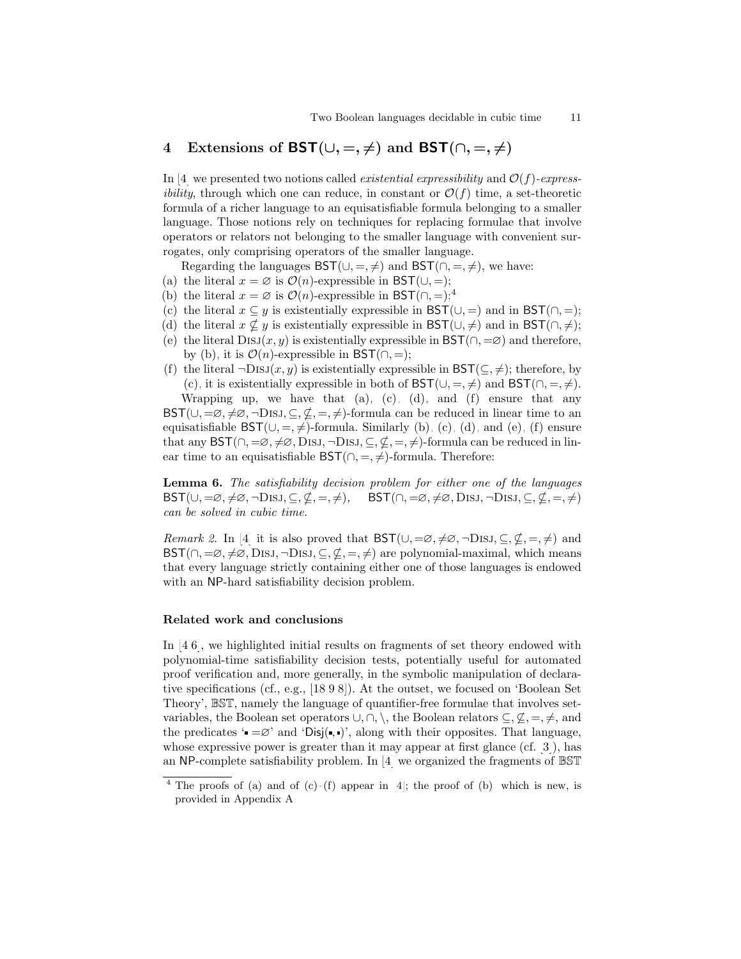## <span id="page-10-0"></span>4 Extensions of BST( $\cup, =, \neq$ ) and BST( $\cap, =, \neq$ )

In [\[4\]](#page-12-4) we presented two notions called *existential expressibility* and  $\mathcal{O}(f)$ -express*ibility*, through which one can reduce, in constant or  $\mathcal{O}(f)$  time, a set-theoretic formula of a richer language to an equisatisfiable formula belonging to a smaller language. Those notions rely on techniques for replacing formulae that involve operators or relators not belonging to the smaller language with convenient surrogates, only comprising operators of the smaller language.

Regarding the languages  $\mathsf{BST}(\cup, =, \neq)$  and  $\mathsf{BST}(\cap, =, \neq)$ , we have:

- <span id="page-10-4"></span>(a) the literal  $x = \emptyset$  is  $\mathcal{O}(n)$ -expressible in BST( $\cup$ , =);
- <span id="page-10-2"></span>(b) the literal  $x = \emptyset$  is  $\mathcal{O}(n)$ -expressible in BST( $\cap, =$ );<sup>[4](#page-10-1)</sup>
- <span id="page-10-3"></span>(c) the literal  $x \subseteq y$  is existentially expressible in BST( $\cup$ , =) and in BST( $\cap$ , =);
- <span id="page-10-5"></span>(d) the literal  $x \nsubseteq y$  is existentially expressible in BST( $\cup, \neq$ ) and in BST( $\cap, \neq$ );
- <span id="page-10-7"></span>(e) the literal DISJ(x, y) is existentially expressible in  $\mathsf{BST}(\cap, =\varnothing)$  and therefore, by [\(b\),](#page-10-2) it is  $\mathcal{O}(n)$ -expressible in BST(∩, =);
- <span id="page-10-6"></span>(f) the literal  $\neg \text{DisJ}(x, y)$  is existentially expressible in  $\text{BST}(\subseteq, \neq)$ ; therefore, by [\(c\),](#page-10-3) it is existentially expressible in both of  $\mathsf{BST}(\cup, =, \neq)$  and  $\mathsf{BST}(\cap, =, \neq)$ .

Wrapping up, we have that  $(a)$ ,  $(c)$ ,  $(d)$ , and  $(f)$  ensure that any  $\mathsf{BST}(\cup,=\infty,\neq\infty,\neg \mathrm{DisJ},\subseteq,\neq,\neq)$ -formula can be reduced in linear time to an equisatisfiable  $\mathsf{BST}(\cup, =, \neq)$ -formula. Similarly [\(b\),](#page-10-2) [\(c\),](#page-10-3) [\(d\),](#page-10-5) and [\(e\),](#page-10-7) [\(f\)](#page-10-6) ensure that any  $\mathsf{BST}(\cap,=\infty,\neq\infty,\mathrm{DisJ},\neg\mathrm{DisJ},\subseteq,\neq,=\neq)$ -formula can be reduced in linear time to an equisatisfiable  $\mathsf{BST}(\cap, =, \neq)$ -formula. Therefore:

Lemma 6. The satisfiability decision problem for either one of the languages  $\mathsf{BST}(\cup,=\infty,\neq\infty,\neg \mathrm{DisJ},\subseteq,\nsubseteq,=,\neq),\quad \mathsf{BST}(\cap,=\infty,\neq\infty,\mathrm{DisJ},\neg \mathrm{DisJ},\subseteq,\nsubseteq,=,\neq)$ can be solved in cubic time.

*Remark 2.* In [\[4\]](#page-12-4) it is also proved that  $\mathsf{BST}(\cup,=\infty,\neq\infty,\neg \mathrm{DISJ},\subseteq,\neq,\neq)$  and  $\mathsf{BST}(\cap, =\varnothing, \neq\varnothing, \mathrm{DisJ}, \neg \mathrm{DisJ}, \subseteq, \nsubseteq, =, \neq)$  are polynomial-maximal, which means that every language strictly containing either one of those languages is endowed with an NP-hard satisfiability decision problem.

#### Related work and conclusions

In [\[4](#page-12-4)[,6\]](#page-12-5), we highlighted initial results on fragments of set theory endowed with polynomial-time satisfiability decision tests, potentially useful for automated proof verification and, more generally, in the symbolic manipulation of declarative specifications (cf., e.g., [\[18,](#page-12-6)[9,](#page-12-7)[8\]](#page-12-8)). At the outset, we focused on 'Boolean Set Theory', BST, namely the language of quantifier-free formulae that involves setvariables, the Boolean set operators  $\cup, \cap, \setminus$ , the Boolean relators  $\subseteq, \nsubseteq, =, \neq,$  and the predicates ' $=\infty$ ' and 'Disj(, )', along with their opposites. That language, whose expressive power is greater than it may appear at first glance (cf. [\[3\]](#page-11-1)), has an NP-complete satisfiability problem. In [\[4\]](#page-12-4) we organized the fragments of BST

<span id="page-10-1"></span><sup>&</sup>lt;sup>4</sup> The proofs of [\(a\)](#page-10-4) and of [\(c\)–](#page-10-3)[\(f\)](#page-10-6) appear in [\[4\]](#page-12-4); the proof of [\(b\),](#page-10-2) which is new, is provided in Appendix [A.](#page-13-0)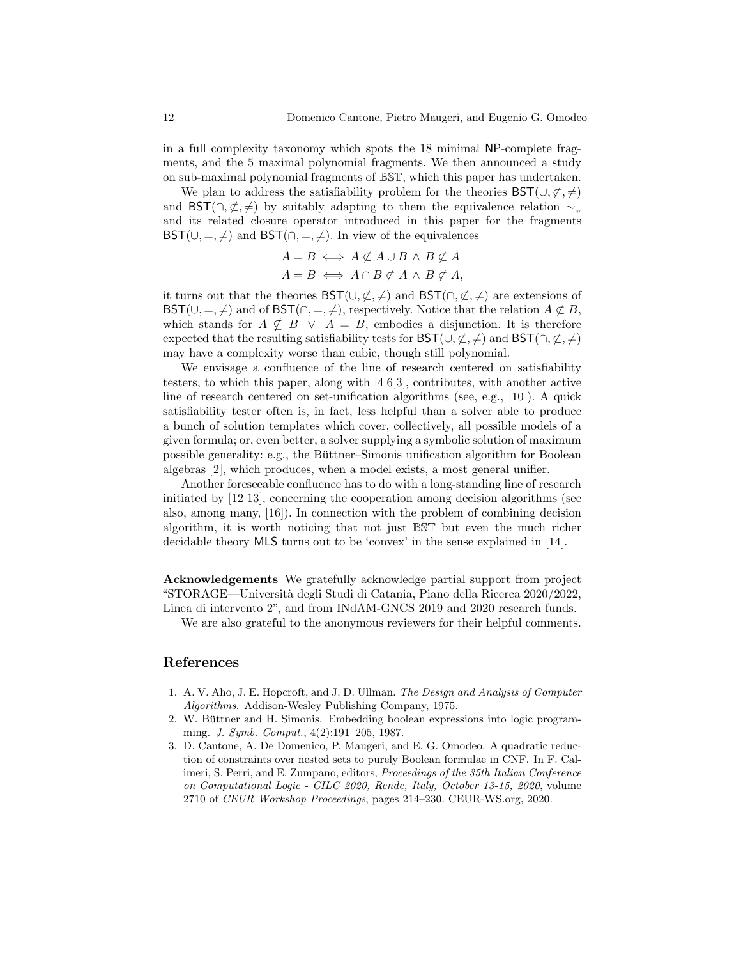in a full complexity taxonomy which spots the 18 minimal NP-complete fragments, and the 5 maximal polynomial fragments. We then announced a study on sub-maximal polynomial fragments of BST, which this paper has undertaken.

We plan to address the satisfiability problem for the theories  $\mathsf{BST}(\cup,\not\subset,\neq)$ and BST( $\cap, \nsubseteq, \neq$ ) by suitably adapting to them the equivalence relation  $\sim_{\varphi}$ and its related closure operator introduced in this paper for the fragments  $\mathsf{BST}(\cup, =, \neq)$  and  $\mathsf{BST}(\cap, =, \neq)$ . In view of the equivalences

$$
A = B \iff A \not\subset A \cup B \land B \not\subset A
$$
  

$$
A = B \iff A \cap B \not\subset A \land B \not\subset A,
$$

it turns out that the theories  $\mathsf{BST}(\cup,\underline{\mathcal{C}},\neq)$  and  $\mathsf{BST}(\cap,\underline{\mathcal{C}},\neq)$  are extensions of BST( $\cup, =, \neq$ ) and of BST( $\cap, =, \neq$ ), respectively. Notice that the relation  $A \not\subset B$ , which stands for  $A \nsubseteq B \vee A = B$ , embodies a disjunction. It is therefore expected that the resulting satisfiability tests for  $\mathsf{BST}(\cup,\underline{\mathcal{C}},\neq)$  and  $\mathsf{BST}(\cap,\underline{\mathcal{C}},\neq)$ may have a complexity worse than cubic, though still polynomial.

We envisage a confluence of the line of research centered on satisfiability testers, to which this paper, along with [\[4,](#page-12-4)[6,](#page-12-5)[3\]](#page-11-1), contributes, with another active line of research centered on set-unification algorithms (see, e.g., [\[10\]](#page-12-9)). A quick satisfiability tester often is, in fact, less helpful than a solver able to produce a bunch of solution templates which cover, collectively, all possible models of a given formula; or, even better, a solver supplying a symbolic solution of maximum possible generality: e.g., the Büttner–Simonis unification algorithm for Boolean algebras [\[2\]](#page-11-2), which produces, when a model exists, a most general unifier.

Another foreseeable confluence has to do with a long-standing line of research initiated by [\[12](#page-12-10)[,13\]](#page-12-11), concerning the cooperation among decision algorithms (see also, among many, [\[16\]](#page-12-12)). In connection with the problem of combining decision algorithm, it is worth noticing that not just BST but even the much richer decidable theory MLS turns out to be 'convex' in the sense explained in [\[14\]](#page-12-13).

Acknowledgements We gratefully acknowledge partial support from project "STORAGE—Universit`a degli Studi di Catania, Piano della Ricerca 2020/2022, Linea di intervento 2", and from INdAM-GNCS 2019 and 2020 research funds.

We are also grateful to the anonymous reviewers for their helpful comments.

### References

- <span id="page-11-0"></span>1. A. V. Aho, J. E. Hopcroft, and J. D. Ullman. The Design and Analysis of Computer Algorithms. Addison-Wesley Publishing Company, 1975.
- <span id="page-11-2"></span>2. W. Büttner and H. Simonis. Embedding boolean expressions into logic programming. J. Symb. Comput., 4(2):191–205, 1987.
- <span id="page-11-1"></span>3. D. Cantone, A. De Domenico, P. Maugeri, and E. G. Omodeo. A quadratic reduction of constraints over nested sets to purely Boolean formulae in CNF. In F. Calimeri, S. Perri, and E. Zumpano, editors, Proceedings of the 35th Italian Conference on Computational Logic - CILC 2020, Rende, Italy, October 13-15, 2020, volume 2710 of CEUR Workshop Proceedings, pages 214–230. CEUR-WS.org, 2020.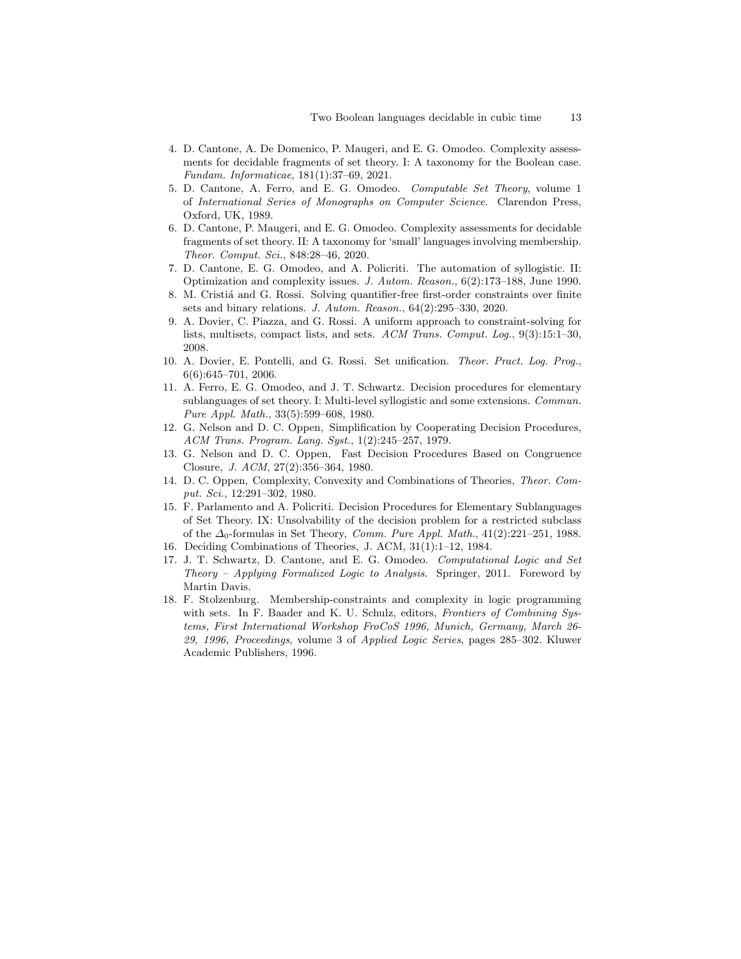- <span id="page-12-4"></span>4. D. Cantone, A. De Domenico, P. Maugeri, and E. G. Omodeo. Complexity assessments for decidable fragments of set theory. I: A taxonomy for the Boolean case. Fundam. Informaticae, 181(1):37–69, 2021.
- 5. D. Cantone, A. Ferro, and E. G. Omodeo. Computable Set Theory, volume 1 of International Series of Monographs on Computer Science. Clarendon Press, Oxford, UK, 1989.
- <span id="page-12-5"></span>6. D. Cantone, P. Maugeri, and E. G. Omodeo. Complexity assessments for decidable fragments of set theory. II: A taxonomy for 'small' languages involving membership. Theor. Comput. Sci., 848:28–46, 2020.
- <span id="page-12-3"></span>7. D. Cantone, E. G. Omodeo, and A. Policriti. The automation of syllogistic. II: Optimization and complexity issues. J. Autom. Reason., 6(2):173–188, June 1990.
- <span id="page-12-8"></span>8. M. Cristiá and G. Rossi. Solving quantifier-free first-order constraints over finite sets and binary relations. J. Autom. Reason., 64(2):295–330, 2020.
- <span id="page-12-7"></span>9. A. Dovier, C. Piazza, and G. Rossi. A uniform approach to constraint-solving for lists, multisets, compact lists, and sets. ACM Trans. Comput. Log., 9(3):15:1–30, 2008.
- <span id="page-12-9"></span>10. A. Dovier, E. Pontelli, and G. Rossi. Set unification. Theor. Pract. Log. Prog., 6(6):645–701, 2006.
- <span id="page-12-2"></span>11. A. Ferro, E. G. Omodeo, and J. T. Schwartz. Decision procedures for elementary sublanguages of set theory. I: Multi-level syllogistic and some extensions. Commun. Pure Appl. Math., 33(5):599–608, 1980.
- <span id="page-12-10"></span>12. G. Nelson and D. C. Oppen, Simplification by Cooperating Decision Procedures, ACM Trans. Program. Lang. Syst., 1(2):245–257, 1979.
- <span id="page-12-11"></span>13. G. Nelson and D. C. Oppen, Fast Decision Procedures Based on Congruence Closure, J. ACM, 27(2):356–364, 1980.
- <span id="page-12-13"></span>14. D. C. Oppen, Complexity, Convexity and Combinations of Theories, Theor. Comput. Sci., 12:291–302, 1980.
- <span id="page-12-1"></span>15. F. Parlamento and A. Policriti. Decision Procedures for Elementary Sublanguages of Set Theory. IX: Unsolvability of the decision problem for a restricted subclass of the  $\Delta_0$ -formulas in Set Theory, *Comm. Pure Appl. Math.*, 41(2):221–251, 1988.
- <span id="page-12-12"></span>16. Deciding Combinations of Theories, J. ACM, 31(1):1–12, 1984.
- <span id="page-12-0"></span>17. J. T. Schwartz, D. Cantone, and E. G. Omodeo. Computational Logic and Set Theory – Applying Formalized Logic to Analysis. Springer, 2011. Foreword by Martin Davis.
- <span id="page-12-6"></span>18. F. Stolzenburg. Membership-constraints and complexity in logic programming with sets. In F. Baader and K. U. Schulz, editors, Frontiers of Combining Systems, First International Workshop FroCoS 1996, Munich, Germany, March 26- 29, 1996, Proceedings, volume 3 of Applied Logic Series, pages 285–302. Kluwer Academic Publishers, 1996.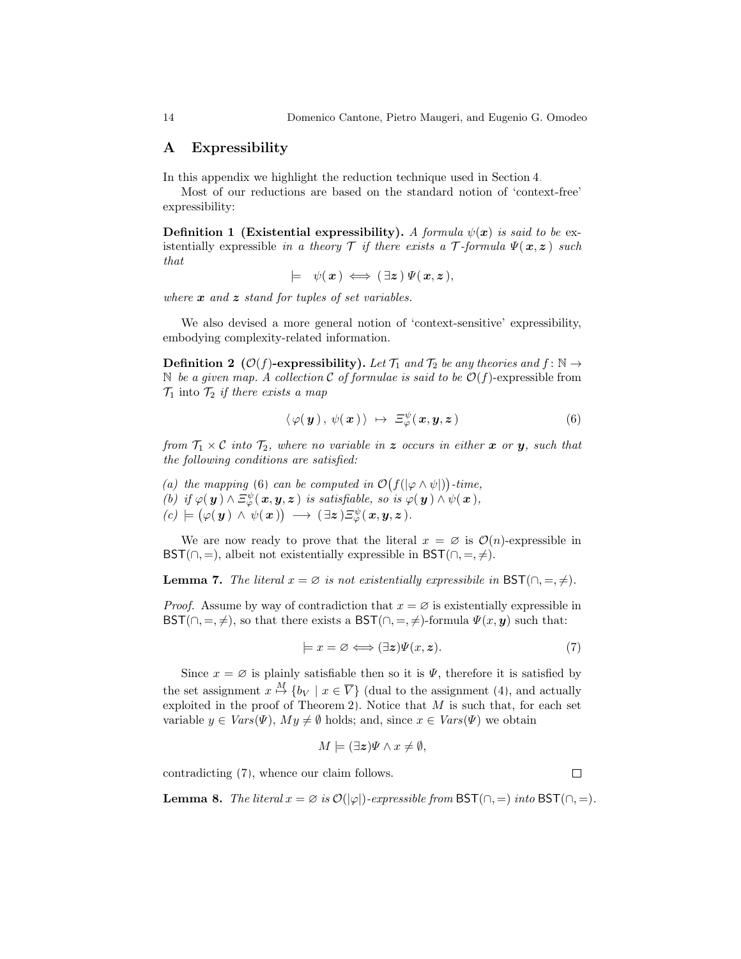#### <span id="page-13-0"></span>A Expressibility

In this appendix we highlight the reduction technique used in Section [4.](#page-10-0)

Most of our reductions are based on the standard notion of 'context-free' expressibility:

**Definition 1 (Existential expressibility).** A formula  $\psi(x)$  is said to be existentially expressible in a theory  $\mathcal T$  if there exists a  $\mathcal T$ -formula  $\Psi(\mathbf x, \mathbf z)$  such that

 $\models \psi(x) \iff (\exists z) \ \Psi(x, z),$ 

where  $\boldsymbol{x}$  and  $\boldsymbol{z}$  stand for tuples of set variables.

We also devised a more general notion of 'context-sensitive' expressibility, embodying complexity-related information.

**Definition 2** ( $\mathcal{O}(f)$ -expressibility). Let  $\mathcal{T}_1$  and  $\mathcal{T}_2$  be any theories and  $f: \mathbb{N} \to$ N be a given map. A collection C of formulae is said to be  $\mathcal{O}(f)$ -expressible from  $\mathcal{T}_1$  into  $\mathcal{T}_2$  *if there exists a map* 

<span id="page-13-1"></span>
$$
\langle \varphi(\boldsymbol{y}), \psi(\boldsymbol{x}) \rangle \ \mapsto \ \Xi_{\varphi}^{\psi}(\boldsymbol{x}, \boldsymbol{y}, \boldsymbol{z}) \tag{6}
$$

from  $\mathcal{T}_1 \times \mathcal{C}$  into  $\mathcal{T}_2$ , where no variable in z occurs in either x or y, such that the following conditions are satisfied:

<span id="page-13-4"></span><span id="page-13-3"></span>(a) the mapping [\(6\)](#page-13-1) can be computed in  $\mathcal{O}(f(|\varphi \wedge \psi|))$ -time, (b) if  $\varphi(\boldsymbol{y}) \wedge \Xi_{\varphi}^{\psi}(\boldsymbol{x}, \boldsymbol{y}, \boldsymbol{z})$  is satisfiable, so is  $\varphi(\boldsymbol{y}) \wedge \psi(\boldsymbol{x})$ ,  $\phi(c) \models (\varphi(\boldsymbol{y}) \land \psi(\boldsymbol{x})) \rightarrow (\exists \boldsymbol{z}) \Xi^{\psi}_{\varphi}(\boldsymbol{x}, \boldsymbol{y}, \boldsymbol{z}).$ 

<span id="page-13-5"></span>We are now ready to prove that the literal  $x = \emptyset$  is  $\mathcal{O}(n)$ -expressible in BST(∩, =), albeit not existentially expressible in BST(∩, =,  $\neq$ ).

**Lemma 7.** The literal  $x = \emptyset$  is not existentially expressibile in BST( $\cap, =, \neq$ ).

*Proof.* Assume by way of contradiction that  $x = \emptyset$  is existentially expressible in BST( $\cap, =, \neq$ ), so that there exists a BST( $\cap, =, \neq$ )-formula  $\Psi(x, y)$  such that:

$$
\models x = \varnothing \Longleftrightarrow (\exists z)\Psi(x,z). \tag{7}
$$

Since  $x = \emptyset$  is plainly satisfiable then so it is  $\Psi$ , therefore it is satisfied by the set assignment  $x \stackrel{M}{\mapsto} \{b_V \mid x \in \overline{V}\}\$  (dual to the assignment [\(4\)](#page-5-2), and actually exploited in the proof of Theorem [2\)](#page-5-4). Notice that  $M$  is such that, for each set variable  $y \in Vars(\Psi)$ ,  $My \neq \emptyset$  holds; and, since  $x \in Vars(\Psi)$  we obtain

$$
M \models (\exists z)\Psi \land x \neq \emptyset,
$$

contradicting [\(7\)](#page-13-2), whence our claim follows.

<span id="page-13-2"></span> $\Box$ 

**Lemma 8.** The literal  $x = \emptyset$  is  $\mathcal{O}(|\varphi|)$ -expressible from  $\mathsf{BST}(\cap, =)$  into  $\mathsf{BST}(\cap, =)$ .